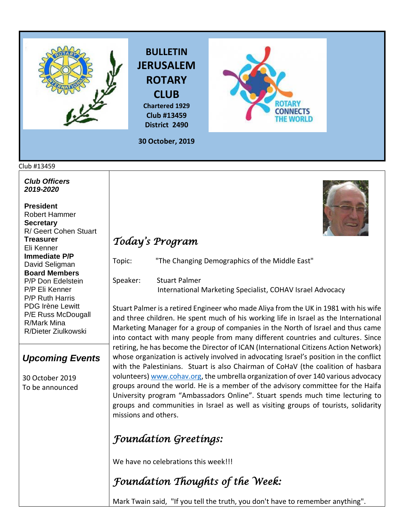





**30 October, 2019**

**Club #13459 District 2490**

#### Club #13459

*Club Officers 2019-2020*

**President**  Robert Hammer **Secretary**  R/ Geert Cohen Stuart **Treasurer**  Eli Kenner **Immediate P/P** David Seligman **Board Members**  P/P Don Edelstein P/P Eli Kenner P/P Ruth Harris PDG Irène Lewitt P/E Russ McDougall R/Mark Mina R/Dieter Ziulkowski

#### *Upcoming Events*

30 October 2019 To be announced



## *Today's Program*

Topic: "The Changing Demographics of the Middle East"

Speaker: Stuart Palmer International Marketing Specialist, COHAV Israel Advocacy

Stuart Palmer is a retired Engineer who made Aliya from the UK in 1981 with his wife and three children. He spent much of his working life in Israel as the International Marketing Manager for a group of companies in the North of Israel and thus came into contact with many people from many different countries and cultures. Since retiring, he has become the Director of ICAN (International Citizens Action Network) whose organization is actively involved in advocating Israel's position in the conflict with the Palestinians. Stuart is also Chairman of CoHaV (the coalition of hasbara volunteers[\) www.cohav.org,](http://www.cohav.org/) the umbrella organization of over 140 various advocacy groups around the world. He is a member of the advisory committee for the Haifa University program "Ambassadors Online". Stuart spends much time lecturing to groups and communities in Israel as well as visiting groups of tourists, solidarity missions and others.

### *Foundation Greetings:*

We have no celebrations this week!!!

# *Foundation Thoughts of the Week:*

Mark Twain said, "If you tell the truth, you don't have to remember anything".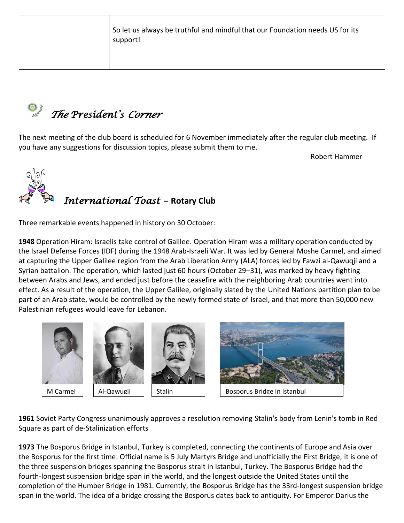So let us always be truthful and mindful that our Foundation needs US for its support!



The next meeting of the club board is scheduled for 6 November immediately after the regular club meeting. If you have any suggestions for discussion topics, please submit them to me.

Robert Hammer



Three remarkable events happened in history on 30 October:

**[1948](https://www.onthisday.com/events/date/1948)** Operation Hiram: Israelis take control of Galilee. Operation Hiram was a military operation conducted by the [Israel Defense Forces](https://en.wikipedia.org/wiki/Israel_Defense_Forces) (IDF) during the [1948 Arab-Israeli War.](https://en.wikipedia.org/wiki/1948_Arab-Israeli_War) It was led by Genera[l Moshe Carmel,](https://en.wikipedia.org/wiki/Moshe_Carmel) and aimed at capturing the [Upper Galilee](https://en.wikipedia.org/wiki/Upper_Galilee) region from the [Arab Liberation Army](https://en.wikipedia.org/wiki/Arab_Liberation_Army) (ALA) forces led by [Fawzi al-Qawuqji](https://en.wikipedia.org/wiki/Fawzi_al-Qawuqji) and a [Syrian](https://en.wikipedia.org/wiki/Syrian) battalion. The operation, which lasted just 60 hours (October 29–31), was marked by heavy [fighting](https://en.wikipedia.org/wiki/Killings_and_massacres_during_the_1948_Palestine_war)  [between Arabs and Jews,](https://en.wikipedia.org/wiki/Killings_and_massacres_during_the_1948_Palestine_war) and ended just before the ceasefire with the neighboring [Arab](https://en.wikipedia.org/wiki/Arab) countries went into effect. As a result of the operation, the Upper Galilee, originally slated by the [United Nations](https://en.wikipedia.org/wiki/United_Nations) partition plan to be part of an [Arab state,](https://en.wikipedia.org/wiki/Proposals_for_a_Palestinian_state#1947_UN_Partition_Plan) would be controlled by the newly formed state of [Israel,](https://en.wikipedia.org/wiki/Israel) and that more than 50,000 new [Palestinian refugees](https://en.wikipedia.org/wiki/Palestinian_refugee) would leave for [Lebanon.](https://en.wikipedia.org/wiki/Lebanon)









M Carmel | | Al-Qawugji | | Stalin | | | | | Bosporus Bridge in Istanbul

**[1961](https://www.onthisday.com/events/date/1961)** Soviet Party Congress unanimously approves a resolution removing [Stalin'](https://www.onthisday.com/people/joseph-stalin)s body from Lenin's tomb in Red Square as part of de-Stalinization efforts

**[1973](https://www.onthisday.com/events/date/1973)** The Bosporus Bridge in Istanbul, Turkey is completed, connecting the continents of Europe and Asia over the Bosporus for the first time. Official name is 5 July Martyrs Bridge and unofficially the First Bridge, it is one of the three [suspension bridges](https://en.wikipedia.org/wiki/Suspension_bridge) spanning the [Bosporus](https://en.wikipedia.org/wiki/Bosphorus) [strait](https://en.wikipedia.org/wiki/Strait) in [Istanbul,](https://en.wikipedia.org/wiki/Istanbul) [Turkey.](https://en.wikipedia.org/wiki/Turkey) The Bosporus Bridge had the [fourth-longest suspension bridge span](https://en.wikipedia.org/wiki/List_of_longest_suspension_bridge_spans) in the world, and the longest outside the [United States](https://en.wikipedia.org/wiki/United_States) until the completion of the [Humber Bridge](https://en.wikipedia.org/wiki/Humber_Bridge) in 1981. Currently, the Bosporus Bridge has the [33rd-longest suspension bridge](https://en.wikipedia.org/wiki/List_of_longest_suspension_bridge_spans)  [span](https://en.wikipedia.org/wiki/List_of_longest_suspension_bridge_spans) in the world. The idea of a bridge crossing the Bosporus dates back to [antiquity.](https://en.wikipedia.org/wiki/Classical_antiquity) For Emperor [Darius the](https://en.wikipedia.org/wiki/Darius_the_Great)